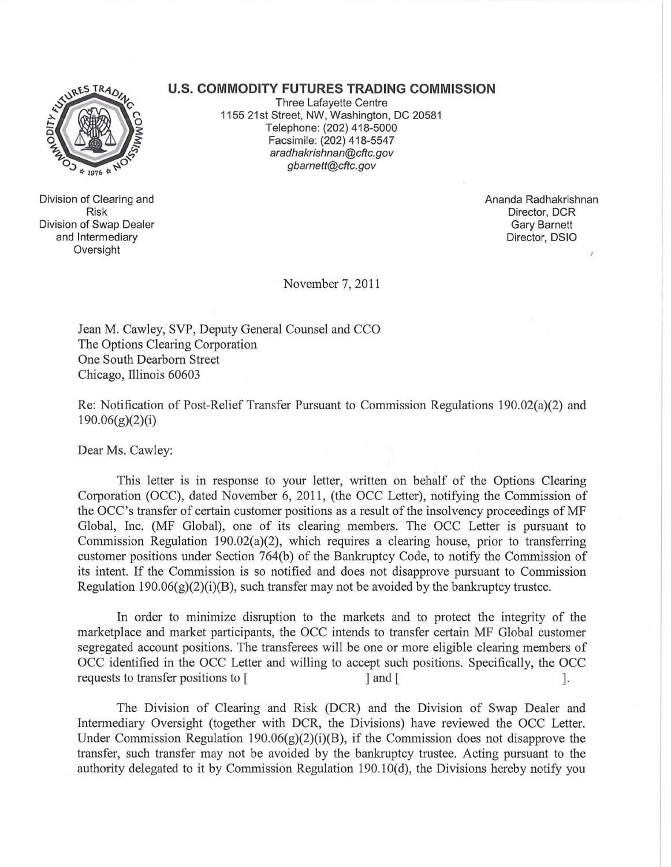## **u.s. COMMODITY FUTURES TRADING COMMISSION**



Division of Clearing and Risk Division of Swap Dealer and Intermediary Oversight

Three Lafayette Centre 1155 21st Street, NW, Washington, DC 20581 Telephone: (202) 418-5000 Facsimile: (202) 418-5547 aradhakrishnan@cftc.gov gbarnett@cftc.gov

> Ananda Radhakrishnan Director, DCR Gary Barnett Director, DSIO

November 7,2011

Jean M. Cawley, SVP, Deputy General Counsel and CCO The Options Clearing Corporation One South Dearborn Street Chicago, Illinois 60603

Re: Notification of Post-Relief Transfer Pursuant to Commission Regulations 190.02(a)(2) and 190.06(g)(2)(i)

Dear Ms. Cawley:

This letter is in response to your letter, written on behalf of the Options Clearing Corporation (OCC), dated November 6, 2011, (the OCC Letter), notifying the Commission of the OCC's transfer of certain customer positions as a result of the insolvency proceedings of MF Global, Inc. (MF Global), one of its clearing members. The OCC Letter is pursuant to Commission Regulation 190.02(a)(2), which requires a clearing house, prior to transferring customer positions under Section 764(b) of the Bankruptcy Code, to notify the Commission of its intent. If the Commission is so notified and does not disapprove pursuant to Commission Regulation 190.06(g)(2)(i)(B), such transfer may not be avoided by the bankruptcy trustee.

In order to minimize disruption to the markets and to protect the integrity of the marketplace and market participants, the OCC intends to transfer certain MF Global customer segregated account positions. The transferees will be one or more eligible clearing members of OCC identified in the OCC Letter and willing to accept such positions. Specifically, the OCC requests to transfer positions to [ ] and [

The Division of Clearing and Risk (DCR) and the Division of Swap Dealer and Intermediary Oversight (together with DCR, the Divisions) have reviewed the OCC Letter. Under Commission Regulation 190.06 $(g)(2)(i)(B)$ , if the Commission does not disapprove the transfer, such transfer may not be avoided by the bankruptcy trustee. Acting pursuant to the authority delegated to it by Commission Regulation 190.1O(d), the Divisions hereby notify you